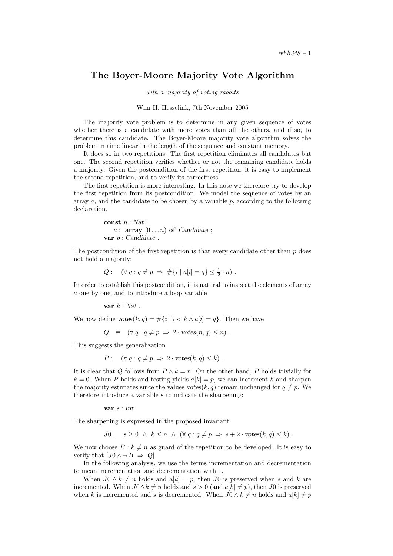## The Boyer-Moore Majority Vote Algorithm

with a majority of voting rabbits

## Wim H. Hesselink, 7th November 2005

The majority vote problem is to determine in any given sequence of votes whether there is a candidate with more votes than all the others, and if so, to determine this candidate. The Boyer-Moore majority vote algorithm solves the problem in time linear in the length of the sequence and constant memory.

It does so in two repetitions. The first repetition eliminates all candidates but one. The second repetition verifies whether or not the remaining candidate holds a majority. Given the postcondition of the first repetition, it is easy to implement the second repetition, and to verify its correctness.

The first repetition is more interesting. In this note we therefore try to develop the first repetition from its postcondition. We model the sequence of votes by an array  $a$ , and the candidate to be chosen by a variable  $p$ , according to the following declaration.

```
const n : Nat :a : \arctan 0...n of Candidate ;
var p: Candidate .
```
The postcondition of the first repetition is that every candidate other than  $p$  does not hold a majority:

 $Q: \quad (\forall \, q : q \neq p \Rightarrow #\{i \mid a[i] = q\} \leq \frac{1}{2} \cdot n)$ .

In order to establish this postcondition, it is natural to inspect the elements of array a one by one, and to introduce a loop variable

var  $k : Nat$ .

We now define  $\text{ votes}(k, q) = #\{i \mid i \leq k \land a[i] = q\}$ . Then we have

 $Q \equiv (\forall q : q \neq p \Rightarrow 2 \cdot \text{votes}(n, q) \leq n)$ .

This suggests the generalization

$$
P: \quad (\forall \, q : q \neq p \Rightarrow 2 \cdot \text{ votes}(k, q) \leq k) \ .
$$

It is clear that Q follows from  $P \wedge k = n$ . On the other hand, P holds trivially for  $k = 0$ . When P holds and testing yields  $a[k] = p$ , we can increment k and sharpen the majority estimates since the values votes(k, q) remain unchanged for  $q \neq p$ . We therefore introduce a variable s to indicate the sharpening:

var  $s: Int$ .

The sharpening is expressed in the proposed invariant

$$
J0: \quad s \ge 0 \ \land \ k \le n \ \land \ (\forall \ q: q \ne p \ \Rightarrow \ s+2 \cdot \text{ votes}(k,q) \le k).
$$

We now choose  $B : k \neq n$  as guard of the repetition to be developed. It is easy to verify that  $[J0 \wedge \neg B \Rightarrow Q]$ .

In the following analysis, we use the terms incrementation and decrementation to mean incrementation and decrementation with 1.

When  $J0 \wedge k \neq n$  holds and  $a[k] = p$ , then J0 is preserved when s and k are incremented. When  $J0 \wedge k \neq n$  holds and  $s > 0$  (and  $a[k] \neq p$ ), then J0 is preserved when k is incremented and s is decremented. When  $J0 \wedge k \neq n$  holds and  $a[k] \neq p$